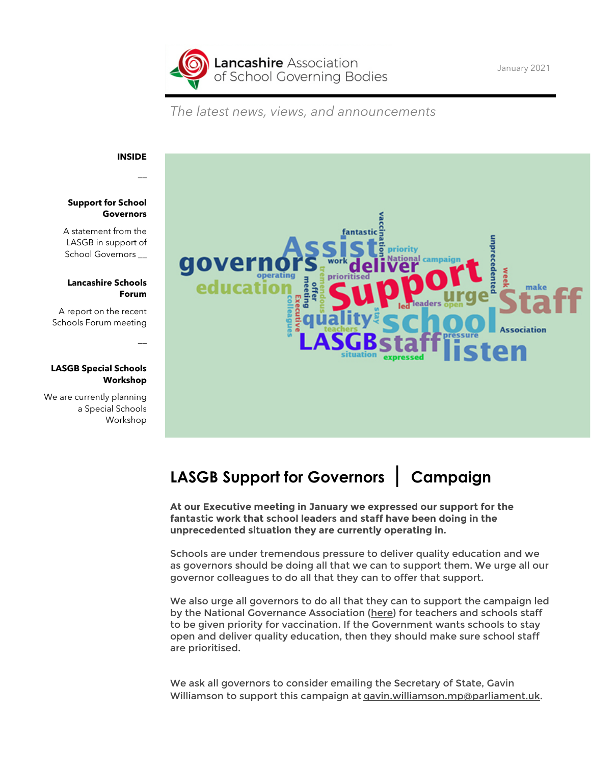**Lancashire** Association of School Governing Bodies

*The latest news, views, and announcements*

### **INSIDE**

 $\overline{a}$ 

 $\overline{a}$ 

#### **Support for School Governors**

A statement from the LASGB in support of School Governors \_

#### **Lancashire Schools Forum**

A report on the recent Schools Forum meeting

#### **LASGB Special Schools Workshop**

We are currently planning a Special Schools Workshop



# **LASGB Support for Governors | Campaign**

**At our Executive meeting in January we expressed our support for the fantastic work that school leaders and staff have been doing in the unprecedented situation they are currently operating in.**

Schools are under tremendous pressure to deliver quality education and we as governors should be doing all that we can to support them. We urge all our governor colleagues to do all that they can to offer that support.

We also urge all governors to do all that they can to support the campaign led by the National Governance Association [\(here\)](https://www.nga.org.uk/News/NGA-News/January-2021/NGA-responding-to-members-concerns-on-COVID-19-par.aspx) for teachers and schools staff to be given priority for vaccination. If the Government wants schools to stay open and deliver quality education, then they should make sure school staff are prioritised.

We ask all governors to consider emailing the Secretary of State, Gavin Williamson to support this campaign at [gavin.williamson.mp@parliament.uk.](mailto:gavin.williamson.mp@parliament.uk)

January 2021